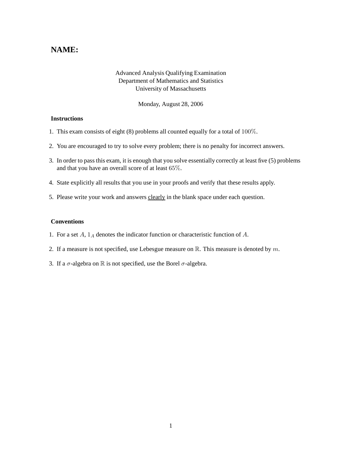# **NAME:**

## Advanced Analysis Qualifying Examination Department of Mathematics and Statistics University of Massachusetts

Monday, August 28, 2006

### **Instructions**

- 1. This exam consists of eight (8) problems all counted equally for a total of 100%.
- 2. You are encouraged to try to solve every problem; there is no penalty for incorrect answers.
- 3. In order to pass this exam, it is enough that you solve essentially correctly at least five (5) problems and that you have an overall score of at least 65%.
- 4. State explicitly all results that you use in your proofs and verify that these results apply.
- 5. Please write your work and answers clearly in the blank space under each question.

#### **Conventions**

- 1. For a set  $A$ ,  $1_A$  denotes the indicator function or characteristic function of  $A$ .
- 2. If a measure is not specified, use Lebesgue measure on  $\mathbb{R}$ . This measure is denoted by m.
- 3. If a  $\sigma$ -algebra on  $\mathbb R$  is not specified, use the Borel  $\sigma$ -algebra.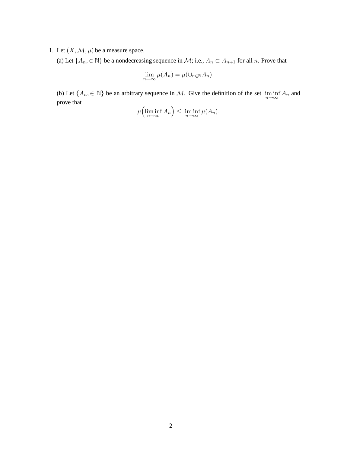## 1. Let  $(X, \mathcal{M}, \mu)$  be a measure space.

(a) Let  $\{A_n, \in \mathbb{N}\}$  be a nondecreasing sequence in  $\mathcal{M}$ ; i.e.,  $A_n \subset A_{n+1}$  for all n. Prove that

$$
\lim_{n \to \infty} \mu(A_n) = \mu(\cup_{n \in \mathbb{N}} A_n).
$$

(b) Let  $\{A_n, \in \mathbb{N}\}\)$  be an arbitrary sequence in M. Give the definition of the set  $\liminf_{n\to\infty} A_n$  and prove that

$$
\mu\left(\liminf_{n\to\infty} A_n\right) \le \liminf_{n\to\infty} \mu(A_n).
$$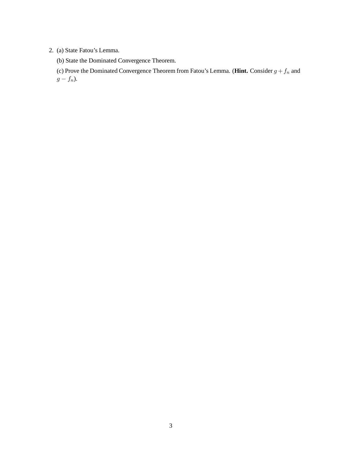## 2. (a) State Fatou's Lemma.

(b) State the Dominated Convergence Theorem.

(c) Prove the Dominated Convergence Theorem from Fatou's Lemma. (**Hint.** Consider  $g + f_n$  and  $g - f_n$ ).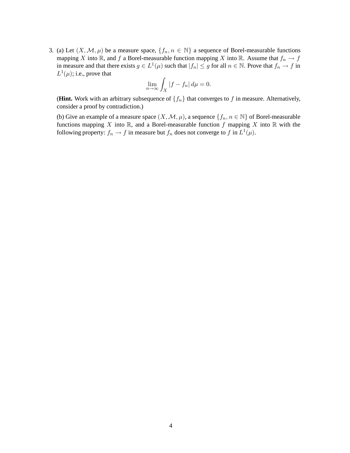3. (a) Let  $(X, \mathcal{M}, \mu)$  be a measure space,  $\{f_n, n \in \mathbb{N}\}\$ a sequence of Borel-measurable functions mapping X into R, and f a Borel-measurable function mapping X into R. Assume that  $f_n \to f$ in measure and that there exists  $g \in L^1(\mu)$  such that  $|f_n| \leq g$  for all  $n \in \mathbb{N}$ . Prove that  $f_n \to f$  in  $L^1(\mu)$ ; i.e., prove that

$$
\lim_{n \to \infty} \int_X |f - f_n| \, d\mu = 0.
$$

(**Hint.** Work with an arbitrary subsequence of  $\{f_n\}$  that converges to f in measure. Alternatively, consider a proof by contradiction.)

(b) Give an example of a measure space  $(X, \mathcal{M}, \mu)$ , a sequence  $\{f_n, n \in \mathbb{N}\}\$  of Borel-measurable functions mapping X into  $\mathbb R$ , and a Borel-measurable function f mapping X into  $\mathbb R$  with the following property:  $f_n \to f$  in measure but  $f_n$  does not converge to f in  $L^1(\mu)$ .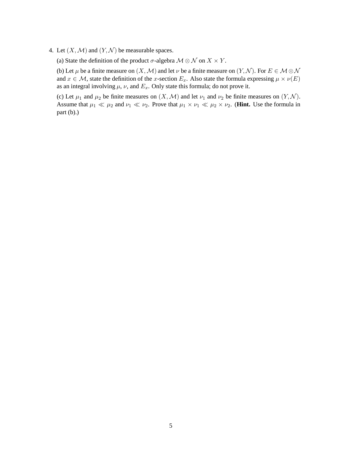4. Let  $(X, \mathcal{M})$  and  $(Y, \mathcal{N})$  be measurable spaces.

(a) State the definition of the product  $\sigma$ -algebra  $\mathcal{M} \otimes \mathcal{N}$  on  $X \times Y$ .

(b) Let  $\mu$  be a finite measure on  $(X, \mathcal{M})$  and let  $\nu$  be a finite measure on  $(Y, \mathcal{N})$ . For  $E \in \mathcal{M} \otimes \mathcal{N}$ and  $x \in \mathcal{M}$ , state the definition of the x-section  $E_x$ . Also state the formula expressing  $\mu \times \nu(E)$ as an integral involving  $\mu$ ,  $\nu$ , and  $E_x$ . Only state this formula; do not prove it.

(c) Let  $\mu_1$  and  $\mu_2$  be finite measures on  $(X, \mathcal{M})$  and let  $\nu_1$  and  $\nu_2$  be finite measures on  $(Y, \mathcal{N})$ . Assume that  $\mu_1 \ll \mu_2$  and  $\nu_1 \ll \nu_2$ . Prove that  $\mu_1 \times \nu_1 \ll \mu_2 \times \nu_2$ . (**Hint.** Use the formula in part (b).)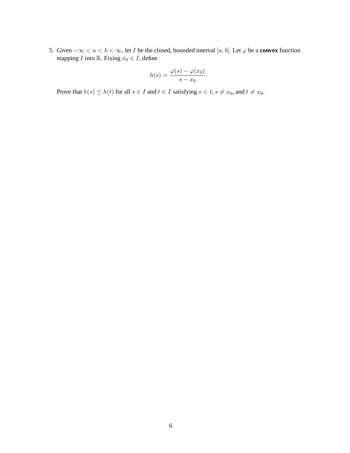5. Given  $-\infty < a < b < \infty$ , let *I* be the closed, bounded interval [a, b]. Let  $\varphi$  be a **convex** function mapping *I* into R. Fixing  $x_0 \in I$ , define

$$
h(s) = \frac{\varphi(s) - \varphi(x_0)}{s - x_0}.
$$

Prove that  $h(s) \leq h(t)$  for all  $s \in I$  and  $t \in I$  satisfying  $s < t$ ,  $s \neq x_0$ , and  $t \neq x_0$ .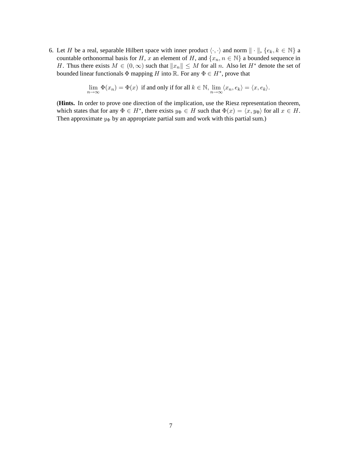6. Let H be a real, separable Hilbert space with inner product  $\langle \cdot, \cdot \rangle$  and norm  $\| \cdot \|, \{e_k, k \in \mathbb{N} \}$  a countable orthonormal basis for H, x an element of H, and  $\{x_n, n \in \mathbb{N}\}\$ a bounded sequence in H. Thus there exists  $M \in (0, \infty)$  such that  $||x_n|| \leq M$  for all n. Also let  $H^*$  denote the set of bounded linear functionals  $\Phi$  mapping H into R. For any  $\Phi \in H^*$ , prove that

$$
\lim_{n \to \infty} \Phi(x_n) = \Phi(x)
$$
 if and only if for all  $k \in \mathbb{N}$ ,  $\lim_{n \to \infty} \langle x_n, e_k \rangle = \langle x, e_k \rangle$ .

(**Hints.** In order to prove one direction of the implication, use the Riesz representation theorem, which states that for any  $\Phi \in H^*$ , there exists  $y_{\Phi} \in H$  such that  $\Phi(x) = \langle x, y_{\Phi} \rangle$  for all  $x \in H$ . Then approximate  $y_{\Phi}$  by an appropriate partial sum and work with this partial sum.)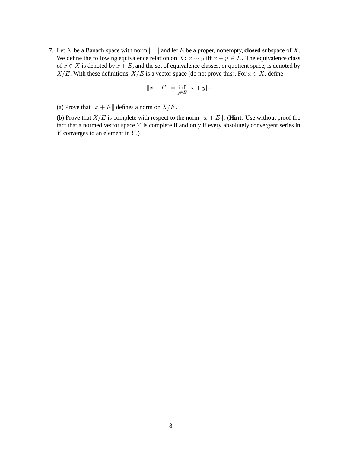7. Let X be a Banach space with norm  $\| \cdot \|$  and let E be a proper, nonempty, **closed** subspace of X. We define the following equivalence relation on X:  $x \sim y$  iff  $x - y \in E$ . The equivalence class of  $x \in X$  is denoted by  $x + E$ , and the set of equivalence classes, or quotient space, is denoted by  $X/E$ . With these definitions,  $X/E$  is a vector space (do not prove this). For  $x \in X$ , define

$$
||x + E|| = \inf_{y \in E} ||x + y||.
$$

(a) Prove that  $||x + E||$  defines a norm on  $X/E$ .

(b) Prove that  $X/E$  is complete with respect to the norm  $||x + E||$ . (**Hint.** Use without proof the fact that a normed vector space Y is complete if and only if every absolutely convergent series in  $Y$  converges to an element in  $Y$ .)